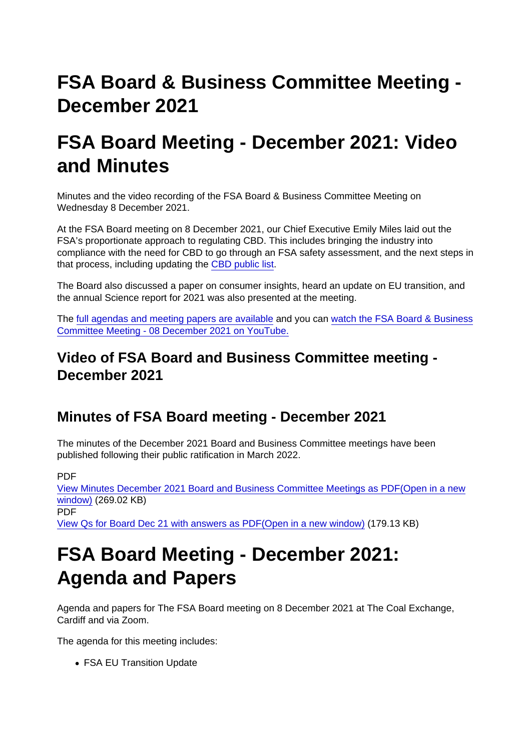# FSA Board & Business Committee Meeting - December 2021

### FSA Board Meeting - December 2021: Video and Minutes

Minutes and the video recording of the FSA Board & Business Committee Meeting on Wednesday 8 December 2021.

At the FSA Board meeting on 8 December 2021, our Chief Executive Emily Miles laid out the FSA's proportionate approach to regulating CBD. This includes bringing the industry into compliance with the need for CBD to go through an FSA safety assessment, and the next steps in that process, including updating the [CBD public list](https://www.food.gov.uk/business-guidance/cbd-products-linked-to-novel-food-applications).

The Board also discussed a paper on consumer insights, heard an update on EU transition, and the annual Science report for 2021 was also presented at the meeting.

The [full agendas and meeting papers are available](https://www.food.gov.uk/about-us/fsa-board-meeting-december-2021-agenda-and-papers) and you can [watch the FSA Board & Business](https://www.youtube.com/watch?v=IFh2w8GCyEQ) [Committee Meeting - 08 December 2021 on YouTube.](https://www.youtube.com/watch?v=IFh2w8GCyEQ)

Video of FSA Board and Business Committee meeting - December 2021

### Minutes of FSA Board meeting - December 2021

The minutes of the December 2021 Board and Business Committee meetings have been published following their public ratification in March 2022.

PDF

[View Minutes December 2021 Board and Business Committee Meetings as PDF\(Open in a new](https://www.food.gov.uk/sites/default/files/media/document/Minutes December 2021 Board and Business Committee Meetings.pdf) [window\)](https://www.food.gov.uk/sites/default/files/media/document/Minutes December 2021 Board and Business Committee Meetings.pdf) (269.02 KB) PDF [View Qs for Board Dec 21 with answers as PDF\(Open in a new window\)](https://www.food.gov.uk/sites/default/files/media/document/Qs for Board Dec 21 with answers_0.pdf) (179.13 KB)

### FSA Board Meeting - December 2021: Agenda and Papers

Agenda and papers for The FSA Board meeting on 8 December 2021 at The Coal Exchange, Cardiff and via Zoom.

The agenda for this meeting includes:

• FSA EU Transition Update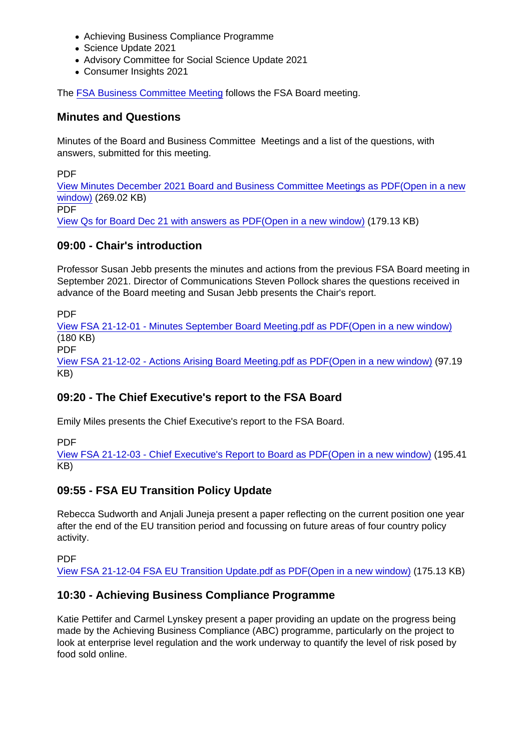- Achieving Business Compliance Programme
- Science Update 2021
- Advisory Committee for Social Science Update 2021
- Consumer Insights 2021

The [FSA Business Committee Meeting](https://www.food.gov.uk/about-us/fsa-business-committee-meeting-december-2021-agenda-and-papers) follows the FSA Board meeting.

Minutes and Questions

Minutes of the Board and Business Committee Meetings and a list of the questions, with answers, submitted for this meeting.

PDF

[View Minutes December 2021 Board and Business Committee Meetings as PDF\(Open in a new](https://www.food.gov.uk/sites/default/files/media/document/Minutes December 2021 Board and Business Committee Meetings.pdf) [window\)](https://www.food.gov.uk/sites/default/files/media/document/Minutes December 2021 Board and Business Committee Meetings.pdf) (269.02 KB) PDF

[View Qs for Board Dec 21 with answers as PDF\(Open in a new window\)](https://www.food.gov.uk/sites/default/files/media/document/Qs for Board Dec 21 with answers_0.pdf) (179.13 KB)

#### 09:00 - Chair's introduction

Professor Susan Jebb presents the minutes and actions from the previous FSA Board meeting in September 2021. Director of Communications Steven Pollock shares the questions received in advance of the Board meeting and Susan Jebb presents the Chair's report.

PDF

[View FSA 21-12-01 - Minutes September Board Meeting.pdf as PDF\(Open in a new window\)](https://www.food.gov.uk/sites/default/files/media/document/FSA 21-12-01 - Minutes September Board Meeting.pdf) (180 KB)

PDF

[View FSA 21-12-02 - Actions Arising Board Meeting.pdf as PDF\(Open in a new window\)](https://www.food.gov.uk/sites/default/files/media/document/FSA 21-12-02 - Actions Arising Board Meeting.pdf) (97.19 KB)

09:20 - The Chief Executive's report to the FSA Board

Emily Miles presents the Chief Executive's report to the FSA Board.

PDF

[View FSA 21-12-03 - Chief Executive's Report to Board as PDF\(Open in a new window\)](https://www.food.gov.uk/sites/default/files/media/document/FSA 21-12-03 - CE Report to Board.pdf) (195.41 KB)

#### 09:55 - FSA EU Transition Policy Update

Rebecca Sudworth and Anjali Juneja present a paper reflecting on the current position one year after the end of the EU transition period and focussing on future areas of four country policy activity.

PDF

[View FSA 21-12-04 FSA EU Transition Update.pdf as PDF\(Open in a new window\)](https://www.food.gov.uk/sites/default/files/media/document/FSA 21-12-04 - FSA EU Transition Update.pdf) (175.13 KB)

#### 10:30 - Achieving Business Compliance Programme

Katie Pettifer and Carmel Lynskey present a paper providing an update on the progress being made by the Achieving Business Compliance (ABC) programme, particularly on the project to look at enterprise level regulation and the work underway to quantify the level of risk posed by food sold online.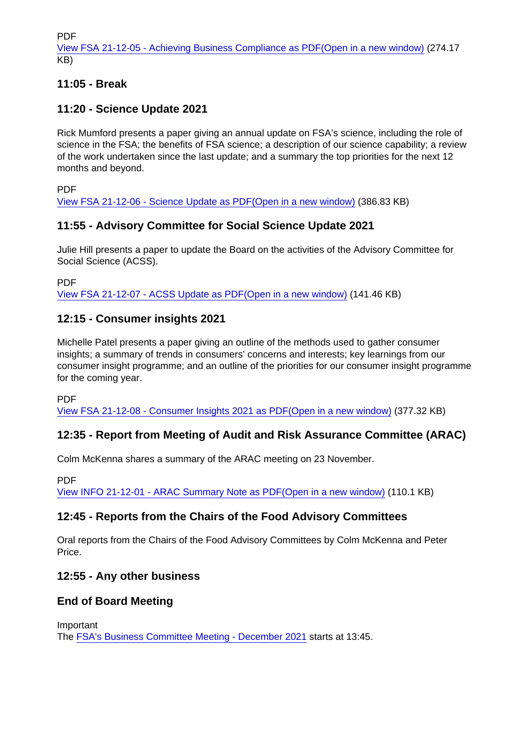PDF

[View FSA 21-12-05 - Achieving Business Compliance as PDF\(Open in a new window\)](https://www.food.gov.uk/sites/default/files/media/document/FSA 21-12-05 - Achieving Business Compliance.pdf) (274.17 KB)

11:05 - Break

11:20 - Science Update 2021

Rick Mumford presents a paper giving an annual update on FSA's science, including the role of science in the FSA; the benefits of FSA science; a description of our science capability; a review of the work undertaken since the last update; and a summary the top priorities for the next 12 months and beyond.

PDF

[View FSA 21-12-06 - Science Update as PDF\(Open in a new window\)](https://www.food.gov.uk/sites/default/files/media/document/FSA 21-12-06 - Science Update_0.pdf) (386.83 KB)

### 11:55 - Advisory Committee for Social Science Update 2021

Julie Hill presents a paper to update the Board on the activities of the Advisory Committee for Social Science (ACSS).

PDF

[View FSA 21-12-07 - ACSS Update as PDF\(Open in a new window\)](https://www.food.gov.uk/sites/default/files/media/document/FSA 21-12-07 - ACSS Update.pdf) (141.46 KB)

12:15 - Consumer insights 2021

Michelle Patel presents a paper giving an outline of the methods used to gather consumer insights; a summary of trends in consumers' concerns and interests; key learnings from our consumer insight programme; and an outline of the priorities for our consumer insight programme for the coming year.

PDF

[View FSA 21-12-08 - Consumer Insights 2021 as PDF\(Open in a new window\)](https://www.food.gov.uk/sites/default/files/media/document/FSA 21-12-08 - Consumer Insights 2021 .pdf) (377.32 KB)

12:35 - Report from Meeting of Audit and Risk Assurance Committee (ARAC)

Colm McKenna shares a summary of the ARAC meeting on 23 November.

PDF

[View INFO 21-12-01 - ARAC Summary Note as PDF\(Open in a new window\)](https://www.food.gov.uk/sites/default/files/media/document/INFO 21-12-01 - ARAC Summary Note.pdf) (110.1 KB)

12:45 - Reports from the Chairs of the Food Advisory Committees

Oral reports from the Chairs of the Food Advisory Committees by Colm McKenna and Peter Price.

12:55 - Any other business

End of Board Meeting

Important

The [FSA's Business Committee Meeting - December 2021](https://www.food.gov.uk/about-us/fsa-business-committee-meeting-december-2021-agenda-and-papers) starts at 13:45.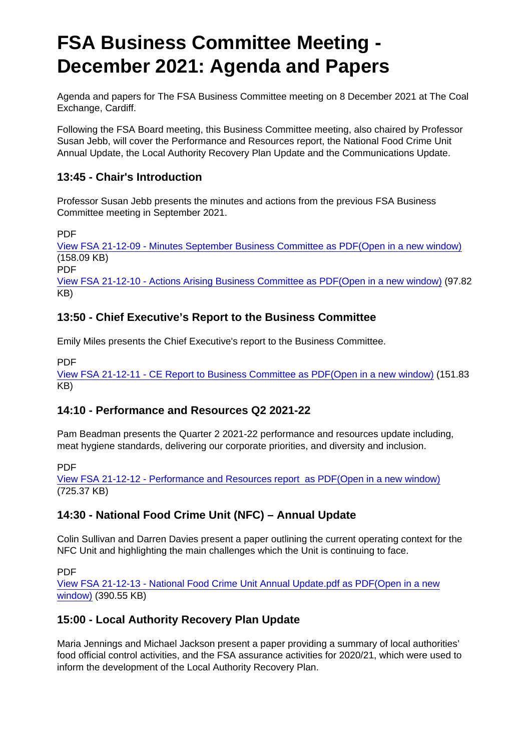# FSA Business Committee Meeting - December 2021: Agenda and Papers

Agenda and papers for The FSA Business Committee meeting on 8 December 2021 at The Coal Exchange, Cardiff.

Following the FSA Board meeting, this Business Committee meeting, also chaired by Professor Susan Jebb, will cover the Performance and Resources report, the National Food Crime Unit Annual Update, the Local Authority Recovery Plan Update and the Communications Update.

13:45 - Chair's Introduction

Professor Susan Jebb presents the minutes and actions from the previous FSA Business Committee meeting in September 2021.

PDF

[View FSA 21-12-09 - Minutes September Business Committee as PDF\(Open in a new window\)](https://www.food.gov.uk/sites/default/files/media/document/FSA 21-12-09 - Minutes September Business Committee.pdf) (158.09 KB)

PDF

[View FSA 21-12-10 - Actions Arising Business Committee as PDF\(Open in a new window\)](https://www.food.gov.uk/sites/default/files/media/document/FSA 21-12-10 - Actions Arising Business Committe.pdf) (97.82 KB)

13:50 - Chief Executive's Report to the Business Committee

Emily Miles presents the Chief Executive's report to the Business Committee.

PDF

[View FSA 21-12-11 - CE Report to Business Committee as PDF\(Open in a new window\)](https://www.food.gov.uk/sites/default/files/media/document/FSA 21-12-11 - CE Report to Business Committee.pdf) (151.83 KB)

14:10 - Performance and Resources Q2 2021-22

Pam Beadman presents the Quarter 2 2021-22 performance and resources update including, meat hygiene standards, delivering our corporate priorities, and diversity and inclusion.

PDF

[View FSA 21-12-12 - Performance and Resources report as PDF\(Open in a new window\)](https://www.food.gov.uk/sites/default/files/media/document/FSA 21-12-12 - Performance and Resources report .pdf) (725.37 KB)

14:30 - National Food Crime Unit (NFC) – Annual Update

Colin Sullivan and Darren Davies present a paper outlining the current operating context for the NFC Unit and highlighting the main challenges which the Unit is continuing to face.

PDF

[View FSA 21-12-13 - National Food Crime Unit Annual Update.pdf as PDF\(Open in a new](https://www.food.gov.uk/sites/default/files/media/document/FSA 21-12-13 - National Food Crime Unit Annual Update.pdf) [window\)](https://www.food.gov.uk/sites/default/files/media/document/FSA 21-12-13 - National Food Crime Unit Annual Update.pdf) (390.55 KB)

#### 15:00 - Local Authority Recovery Plan Update

Maria Jennings and Michael Jackson present a paper providing a summary of local authorities' food official control activities, and the FSA assurance activities for 2020/21, which were used to inform the development of the Local Authority Recovery Plan.